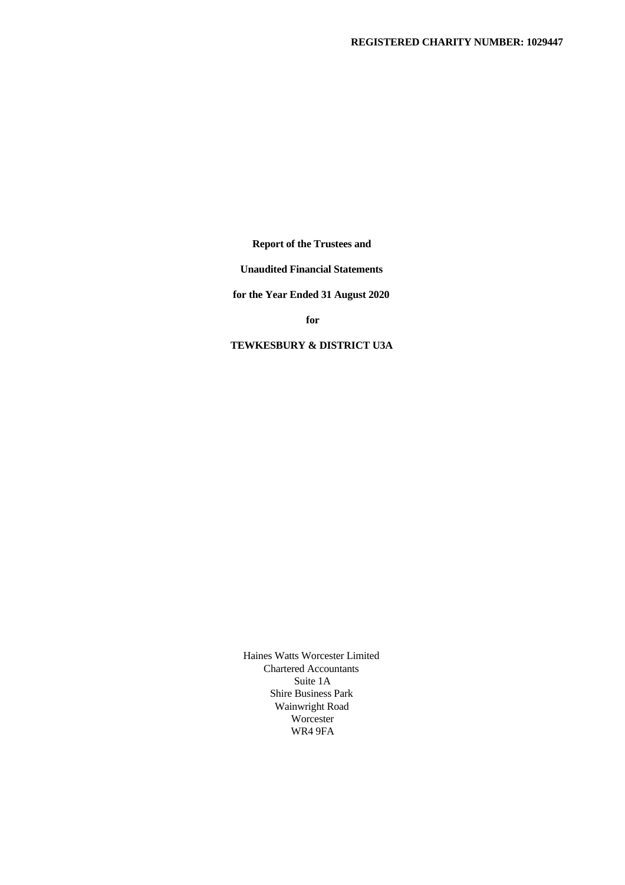**Report of the Trustees and**

**Unaudited Financial Statements**

**for the Year Ended 31 August 2020**

**for**

**TEWKESBURY & DISTRICT U3A**

Haines Watts Worcester Limited Chartered Accountants Suite 1A Shire Business Park Wainwright Road Worcester WR4 9FA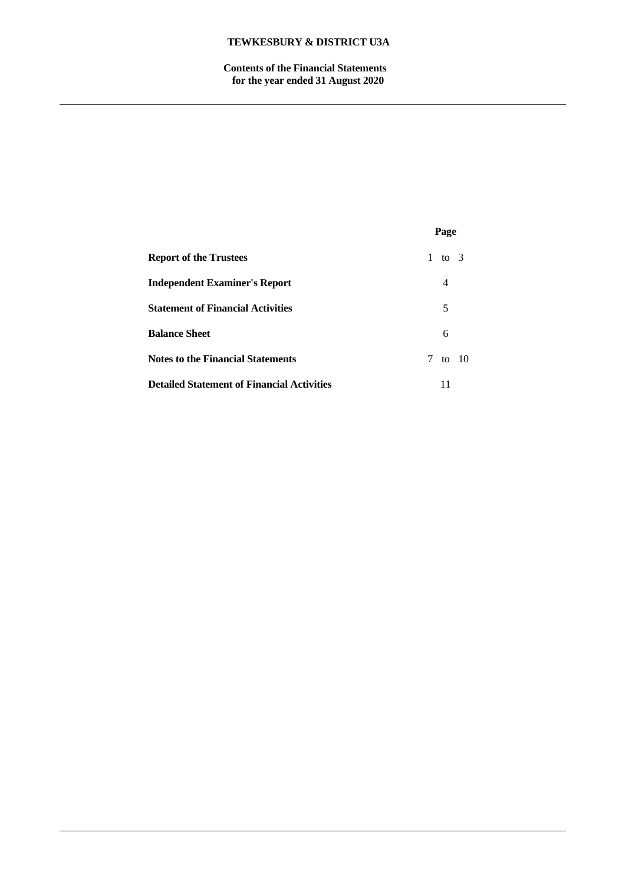**Contents of the Financial Statements for the year ended 31 August 2020**

|                                                   | Page       |  |
|---------------------------------------------------|------------|--|
| <b>Report of the Trustees</b>                     | 1 to 3     |  |
| <b>Independent Examiner's Report</b>              | 4          |  |
| <b>Statement of Financial Activities</b>          | 5          |  |
| <b>Balance Sheet</b>                              | 6          |  |
| <b>Notes to the Financial Statements</b>          | 7<br>to 10 |  |
| <b>Detailed Statement of Financial Activities</b> | 11         |  |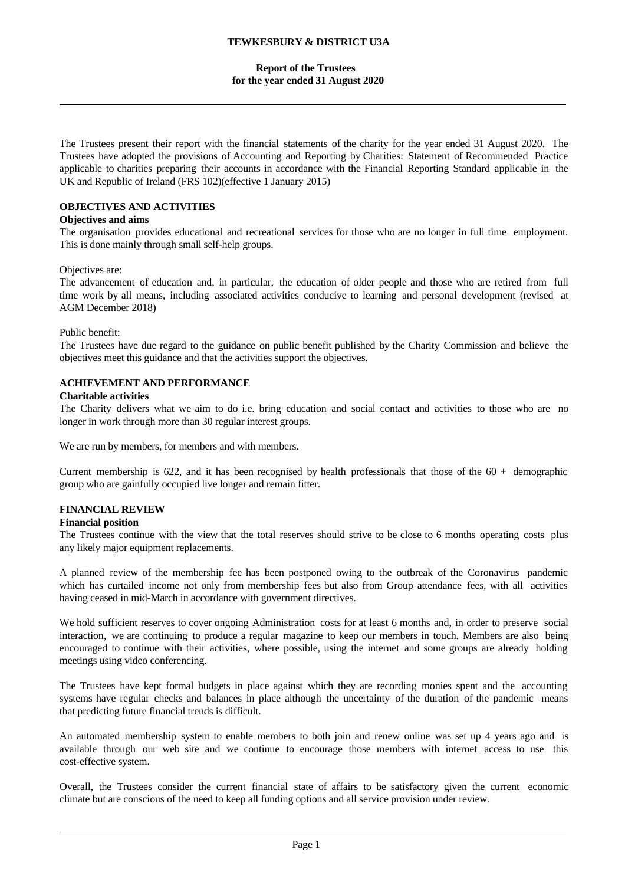### **Report of the Trustees for the year ended 31 August 2020**

The Trustees present their report with the financial statements of the charity for the year ended 31 August 2020. The Trustees have adopted the provisions of Accounting and Reporting by Charities: Statement of Recommended Practice applicable to charities preparing their accounts in accordance with the Financial Reporting Standard applicable in the UK and Republic of Ireland (FRS 102)(effective 1 January 2015)

## **OBJECTIVES AND ACTIVITIES**

### **Objectives and aims**

The organisation provides educational and recreational services for those who are no longer in full time employment. This is done mainly through small self-help groups.

#### Objectives are:

The advancement of education and, in particular, the education of older people and those who are retired from full time work by all means, including associated activities conducive to learning and personal development (revised at AGM December 2018)

#### Public benefit:

The Trustees have due regard to the guidance on public benefit published by the Charity Commission and believe the objectives meet this guidance and that the activities support the objectives.

### **ACHIEVEMENT AND PERFORMANCE**

### **Charitable activities**

The Charity delivers what we aim to do i.e. bring education and social contact and activities to those who are no longer in work through more than 30 regular interest groups.

We are run by members, for members and with members.

Current membership is 622, and it has been recognised by health professionals that those of the  $60 +$  demographic group who are gainfully occupied live longer and remain fitter.

## **FINANCIAL REVIEW**

### **Financial position**

The Trustees continue with the view that the total reserves should strive to be close to 6 months operating costs plus any likely major equipment replacements.

A planned review of the membership fee has been postponed owing to the outbreak of the Coronavirus pandemic which has curtailed income not only from membership fees but also from Group attendance fees, with all activities having ceased in mid-March in accordance with government directives.

We hold sufficient reserves to cover ongoing Administration costs for at least 6 months and, in order to preserve social interaction, we are continuing to produce a regular magazine to keep our members in touch. Members are also being encouraged to continue with their activities, where possible, using the internet and some groups are already holding meetings using video conferencing.

The Trustees have kept formal budgets in place againstwhich they are recording monies spent and the accounting systems have regular checks and balances in place although the uncertainty of the duration of the pandemic means that predicting future financial trends is difficult.

An automated membership system to enable members to both join and renew online was set up 4 years ago and is available through our web site and we continue to encourage those members with internet access to use this cost-effective system.

Overall, the Trustees consider the current financial state of affairs to be satisfactory given the current economic climate but are conscious of the need to keep all funding options and all service provision under review.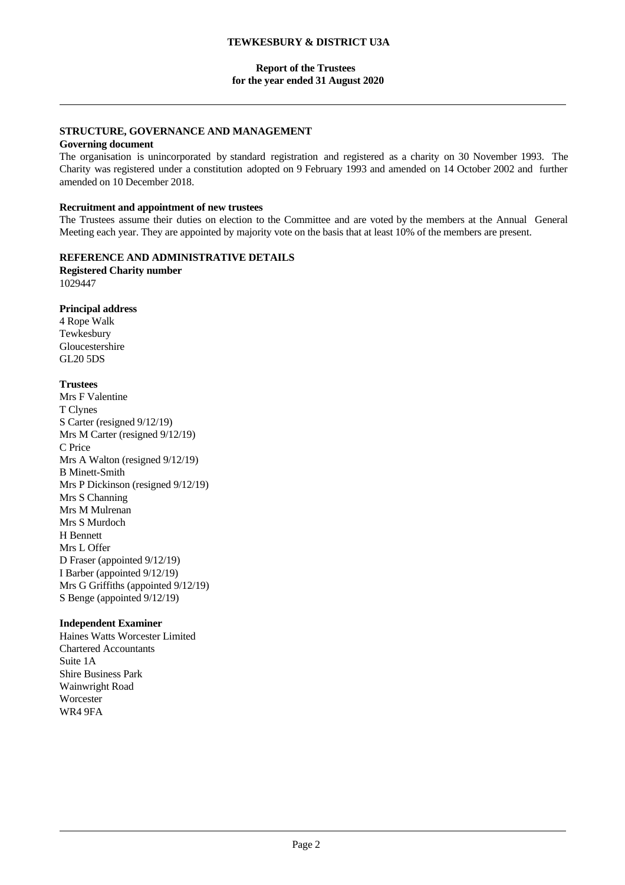## **Report of the Trustees for the year ended 31 August 2020**

# **STRUCTURE, GOVERNANCE AND MANAGEMENT**

## **Governing document**

The organisation is unincorporated by standard registration and registered as a charity on 30 November 1993. The Charity was registered under a constitution adopted on 9 February 1993 and amended on 14 October 2002 and further amended on 10 December 2018.

### **Recruitment and appointment of new trustees**

The Trustees assume their duties on election to the Committee and are voted by the members at the Annual General Meeting each year. They are appointed by majority vote on the basis that at least 10% of the members are present.

# **REFERENCE AND ADMINISTRATIVE DETAILS**

**Registered Charity number** 1029447

## **Principal address**

4 Rope Walk Tewkesbury Gloucestershire GL20 5DS

## **Trustees**

Mrs F Valentine T Clynes S Carter (resigned 9/12/19) Mrs M Carter (resigned 9/12/19) C Price Mrs A Walton (resigned 9/12/19) B Minett-Smith Mrs P Dickinson (resigned 9/12/19) Mrs S Channing Mrs M Mulrenan Mrs S Murdoch H Bennett Mrs L Offer D Fraser (appointed 9/12/19) I Barber (appointed 9/12/19) Mrs G Griffiths (appointed 9/12/19) S Benge (appointed 9/12/19)

### **Independent Examiner**

Haines Watts Worcester Limited Chartered Accountants Suite 1A Shire Business Park Wainwright Road **Worcester** WR4 9FA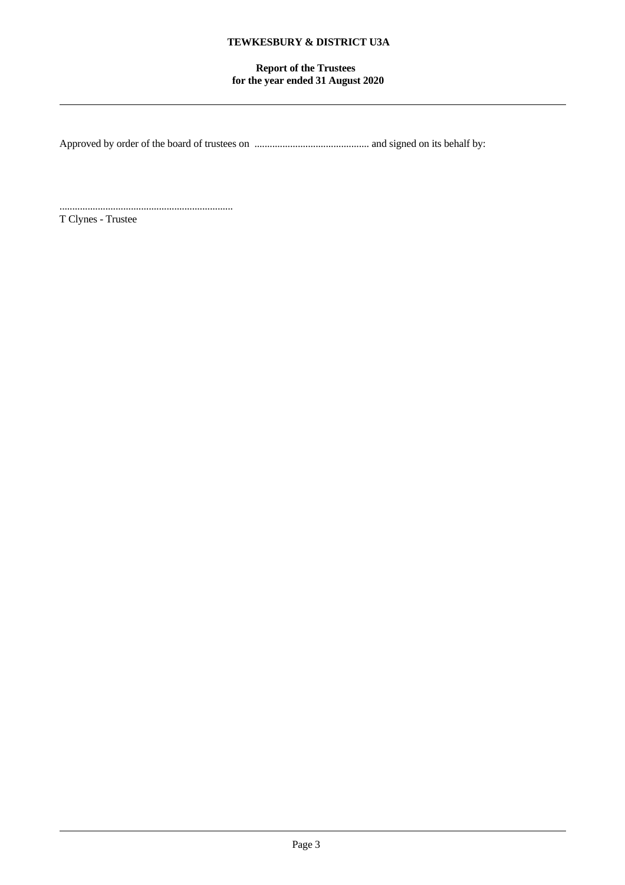# **Report of the Trustees for the year ended 31 August 2020**

Approved by order of the board of trustees on ............................................. and signed on its behalf by:

.................................................................... T Clynes - Trustee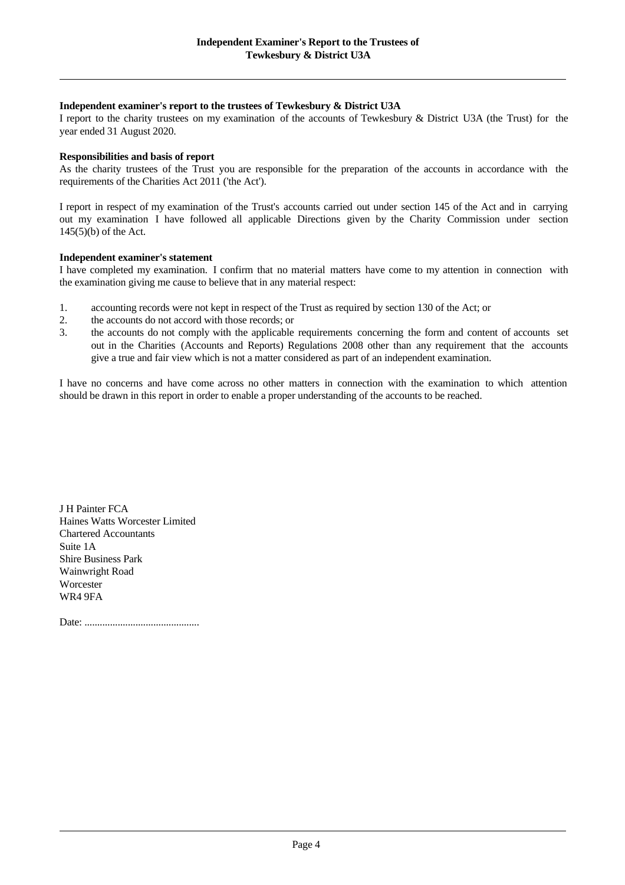### **Independent examiner's report to the trustees of Tewkesbury & District U3A**

I report to the charity trustees on my examination of the accounts of Tewkesbury & District U3A (the Trust) for the year ended 31 August 2020.

### **Responsibilities and basis of report**

As the charity trustees of the Trust you are responsible for the preparation of the accounts in accordance with the requirements of the Charities Act 2011 ('the Act').

I report in respect of my examination of the Trust's accounts carried out under section 145 of the Act and in carrying out my examination I have followed all applicable Directions given by the Charity Commission under section 145(5)(b) of the Act.

### **Independent examiner's statement**

I have completed my examination. I confirm that no material matters have come to my attention in connection with the examination giving me cause to believe that in any material respect:

- 1. accounting records were not kept in respect of the Trust as required by section 130 of the Act; or
- 2. the accounts do not accord with those records; or
- 3. the accounts do not comply with the applicable requirements concerning the form and content of accounts set out in the Charities (Accounts and Reports) Regulations 2008 other than any requirement that the accounts give a true and fair view which is not a matter considered as part of an independent examination.

I have no concerns and have come across no other matters in connection with the examination to which attention should be drawn in this report in order to enable a proper understanding of the accounts to be reached.

J H Painter FCA Haines Watts Worcester Limited Chartered Accountants Suite 1A Shire Business Park Wainwright Road **Worcester** WR4 9FA

Date: .............................................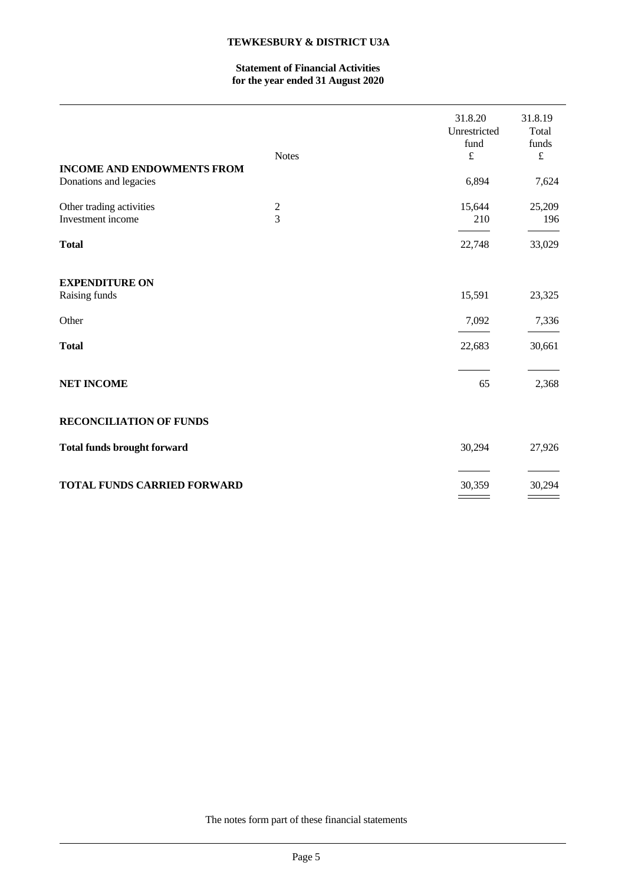# **Statement of Financial Activities for the year ended 31 August 2020**

| Donations and legacies<br>Other trading activities<br>15,644<br>$\boldsymbol{2}$<br>25,209<br>$\overline{3}$<br>Investment income<br>210<br>196<br><b>Total</b><br>22,748<br>33,029<br><b>EXPENDITURE ON</b><br>15,591<br>Raising funds<br>23,325<br>7,092<br>Other<br>7,336<br><b>Total</b><br>22,683<br>30,661<br><b>NET INCOME</b><br>2,368<br>65<br><b>RECONCILIATION OF FUNDS</b> | <b>INCOME AND ENDOWMENTS FROM</b> | <b>Notes</b> | 31.8.20<br>Unrestricted<br>fund<br>$\pounds$<br>6,894 | 31.8.19<br>Total<br>funds<br>$\pounds$<br>7,624 |
|----------------------------------------------------------------------------------------------------------------------------------------------------------------------------------------------------------------------------------------------------------------------------------------------------------------------------------------------------------------------------------------|-----------------------------------|--------------|-------------------------------------------------------|-------------------------------------------------|
|                                                                                                                                                                                                                                                                                                                                                                                        |                                   |              |                                                       |                                                 |
|                                                                                                                                                                                                                                                                                                                                                                                        |                                   |              |                                                       |                                                 |
|                                                                                                                                                                                                                                                                                                                                                                                        |                                   |              |                                                       |                                                 |
|                                                                                                                                                                                                                                                                                                                                                                                        |                                   |              |                                                       |                                                 |
|                                                                                                                                                                                                                                                                                                                                                                                        |                                   |              |                                                       |                                                 |
|                                                                                                                                                                                                                                                                                                                                                                                        |                                   |              |                                                       |                                                 |
|                                                                                                                                                                                                                                                                                                                                                                                        |                                   |              |                                                       |                                                 |
|                                                                                                                                                                                                                                                                                                                                                                                        |                                   |              |                                                       |                                                 |
| <b>Total funds brought forward</b><br>30,294<br>27,926                                                                                                                                                                                                                                                                                                                                 |                                   |              |                                                       |                                                 |
| <b>TOTAL FUNDS CARRIED FORWARD</b><br>30,359<br>30,294                                                                                                                                                                                                                                                                                                                                 |                                   |              |                                                       |                                                 |

The notes form part of these financial statements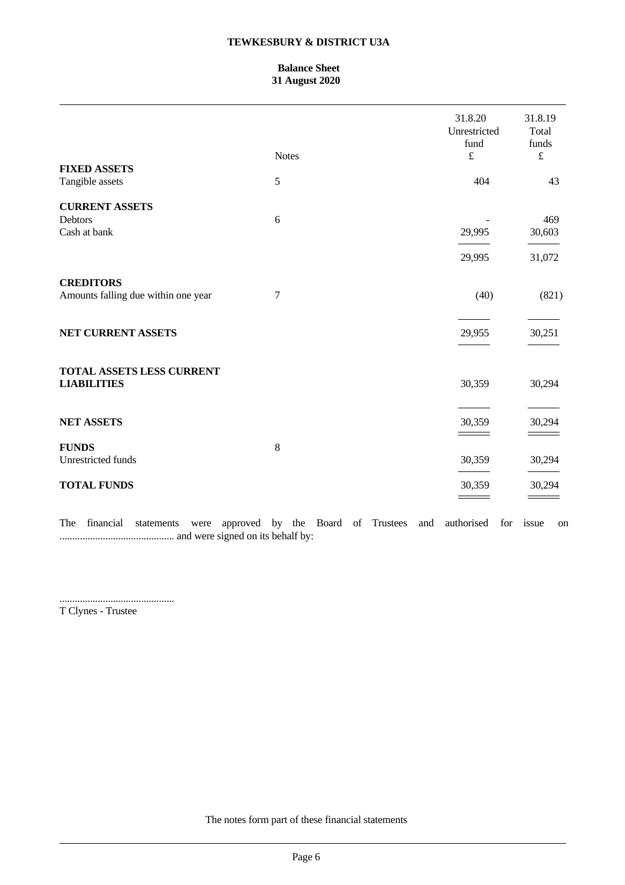## **Balance Sheet 31 August 2020**

| <b>FIXED ASSETS</b>                                     | <b>Notes</b> | 31.8.20<br>Unrestricted<br>fund<br>$\pounds$ | 31.8.19<br>Total<br>funds<br>$\pounds$ |
|---------------------------------------------------------|--------------|----------------------------------------------|----------------------------------------|
| Tangible assets                                         | 5            | 404                                          | 43                                     |
| <b>CURRENT ASSETS</b><br>Debtors                        | 6            |                                              | 469                                    |
| Cash at bank                                            |              | 29,995                                       | 30,603                                 |
|                                                         |              | 29,995                                       | 31,072                                 |
| <b>CREDITORS</b><br>Amounts falling due within one year | $\tau$       | (40)                                         | (821)                                  |
| NET CURRENT ASSETS                                      |              | 29,955                                       | 30,251                                 |
| <b>TOTAL ASSETS LESS CURRENT</b><br><b>LIABILITIES</b>  |              | 30,359                                       | 30,294                                 |
| <b>NET ASSETS</b>                                       |              | 30,359                                       | 30,294                                 |
| <b>FUNDS</b><br>Unrestricted funds                      | $\,8\,$      | 30,359                                       | 30,294                                 |
| <b>TOTAL FUNDS</b>                                      |              | 30,359                                       | 30,294                                 |
|                                                         |              |                                              |                                        |

The financial statements were approved by the Board of Trustees and authorised for issue on ............................................. and were signed on its behalf by:

.............................................

T Clynes - Trustee

The notes form part of these financial statements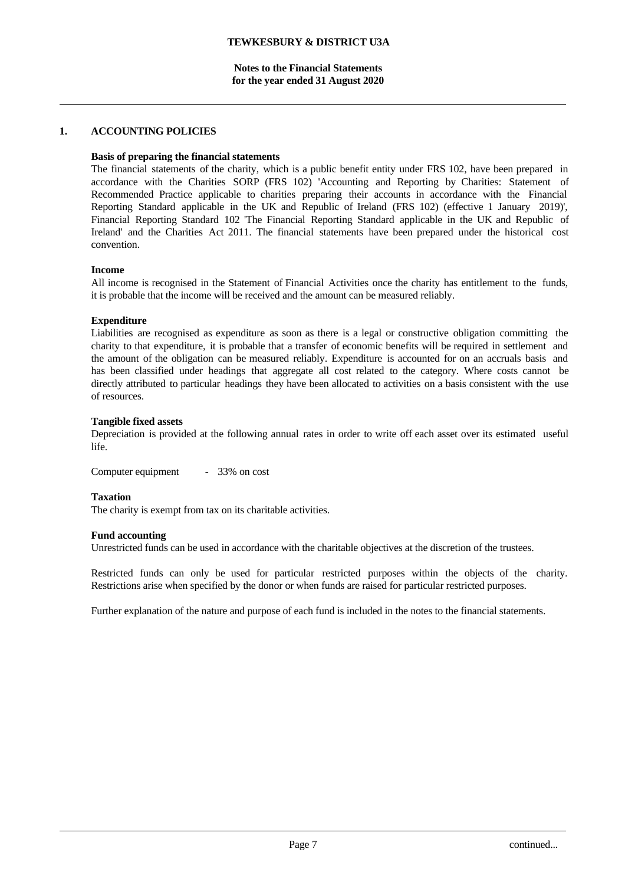# **1. ACCOUNTING POLICIES**

## **Basis of preparing the financial statements**

The financial statements of the charity, which is a public benefit entity under FRS 102, have been prepared in accordance with the Charities SORP (FRS 102) 'Accounting and Reporting by Charities: Statement of Recommended Practice applicable to charities preparing their accounts in accordance with the Financial Reporting Standard applicable in the UK and Republic of Ireland (FRS 102) (effective 1 January 2019)', Financial Reporting Standard 102 'The Financial Reporting Standard applicable in the UK and Republic of Ireland' and the Charities Act 2011. The financial statements have been prepared under the historical cost convention.

## **Income**

All income is recognised in the Statement of Financial Activities once the charity has entitlement to the funds, it is probable that the income will be received and the amount can be measured reliably.

## **Expenditure**

Liabilities are recognised as expenditure as soon as there is a legal or constructive obligation committing the charity to that expenditure, it is probable that a transfer of economic benefits will be required in settlement and the amount of the obligation can be measured reliably. Expenditure is accounted for on an accruals basis and has been classified under headings that aggregate all cost related to the category. Where costs cannot be directly attributed to particular headings they have been allocated to activities on a basis consistent with the use of resources.

## **Tangible fixed assets**

Depreciation is provided at the following annual rates in order to write off each asset over its estimated useful life.

Computer equipment - 33% on cost

## **Taxation**

The charity is exempt from tax on its charitable activities.

### **Fund accounting**

Unrestricted funds can be used in accordance with the charitable objectives at the discretion of the trustees.

Restricted funds can only be used for particular restricted purposes within the objects of the charity. Restrictions arise when specified by the donor or when funds are raised for particular restricted purposes.

Further explanation of the nature and purpose of each fund is included in the notes to the financial statements.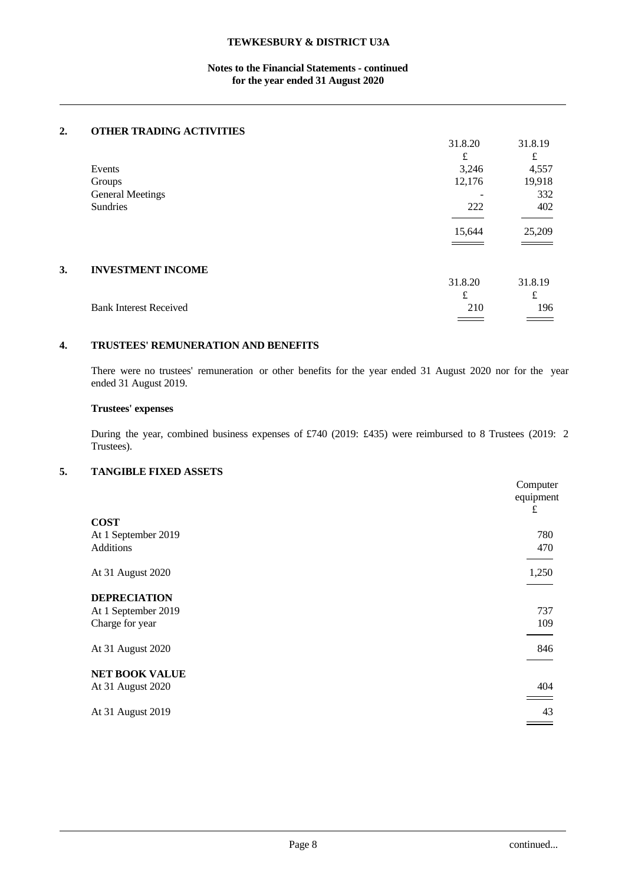## **Notes to the Financial Statements - continued for the year ended 31 August 2020**

# **2. OTHER TRADING ACTIVITIES**

|    |                               | 31.8.20 | 31.8.19 |  |
|----|-------------------------------|---------|---------|--|
|    |                               | £       | £       |  |
|    | Events                        | 3,246   | 4,557   |  |
|    | Groups                        | 12,176  | 19,918  |  |
|    | <b>General Meetings</b>       |         | 332     |  |
|    | Sundries                      | 222     | 402     |  |
|    |                               |         |         |  |
|    |                               | 15,644  | 25,209  |  |
|    |                               |         |         |  |
|    |                               |         |         |  |
| 3. | <b>INVESTMENT INCOME</b>      |         |         |  |
|    |                               | 31.8.20 | 31.8.19 |  |
|    |                               | £       | £       |  |
|    | <b>Bank Interest Received</b> | 210     | 196     |  |
|    |                               |         |         |  |

### **4. TRUSTEES' REMUNERATION AND BENEFITS**

There were no trustees' remuneration or other benefits for the year ended 31 August 2020 nor for the year ended 31 August 2019.

## **Trustees' expenses**

During the year, combined business expenses of £740 (2019: £435) were reimbursed to 8 Trustees (2019: 2 Trustees).

## **5. TANGIBLE FIXED ASSETS**

|                       | Computer<br>equipment |
|-----------------------|-----------------------|
|                       | £                     |
| <b>COST</b>           |                       |
| At 1 September 2019   | 780                   |
| Additions             | 470                   |
|                       |                       |
| At 31 August 2020     | 1,250                 |
|                       |                       |
| <b>DEPRECIATION</b>   |                       |
| At 1 September 2019   | 737                   |
| Charge for year       | 109                   |
|                       |                       |
| At 31 August 2020     | 846                   |
|                       |                       |
| <b>NET BOOK VALUE</b> |                       |
| At 31 August 2020     | 404                   |
|                       |                       |
| At 31 August 2019     | 43                    |
|                       |                       |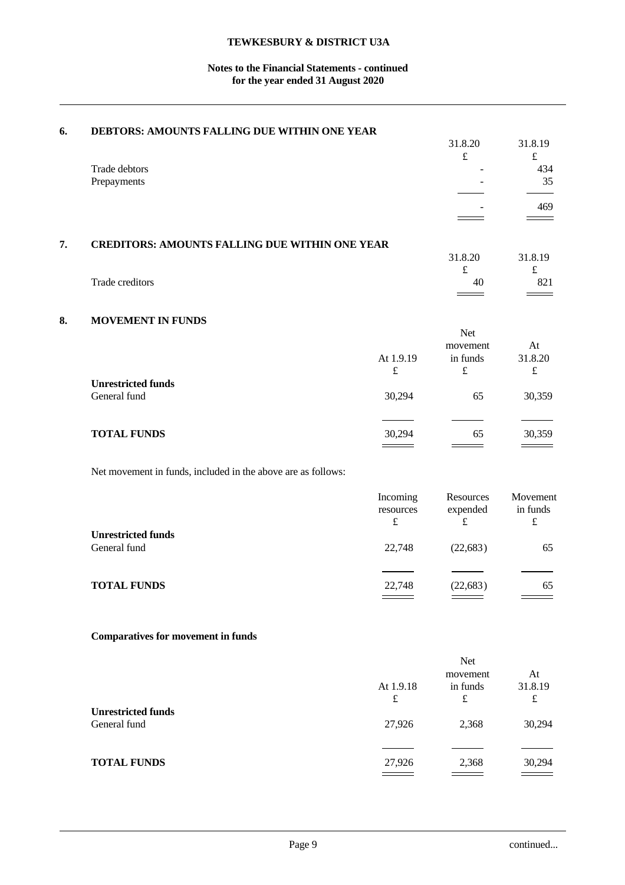## **Notes to the Financial Statements - continued for the year ended 31 August 2020**

| 6. | DEBTORS: AMOUNTS FALLING DUE WITHIN ONE YEAR          |         |         |
|----|-------------------------------------------------------|---------|---------|
|    |                                                       | 31.8.20 | 31.8.19 |
|    |                                                       | £       | £       |
|    | Trade debtors                                         |         | 434     |
|    | Prepayments                                           |         | 35      |
|    |                                                       |         |         |
|    |                                                       |         | 469     |
|    |                                                       |         |         |
|    |                                                       |         |         |
| 7. | <b>CREDITORS: AMOUNTS FALLING DUE WITHIN ONE YEAR</b> |         |         |
|    |                                                       | 31.8.20 | 31.8.19 |
|    |                                                       |         | £       |
|    | Trade creditors                                       | 40      | 821     |
|    |                                                       |         |         |

# **8. MOVEMENT IN FUNDS**

|                                           | At 1.9.19<br>£ | Net<br>movement<br>in funds<br>£ | At<br>31.8.20<br>£ |
|-------------------------------------------|----------------|----------------------------------|--------------------|
| <b>Unrestricted funds</b><br>General fund | 30,294         | 65                               | 30,359             |
| <b>TOTAL FUNDS</b>                        | 30,294         | 65                               | 30,359             |

Net movement in funds, included in the above are as follows:

|                                           | Incoming<br>resources<br>£ | Resources<br>expended<br>£ | Movement<br>in funds<br>₽ |  |
|-------------------------------------------|----------------------------|----------------------------|---------------------------|--|
| <b>Unrestricted funds</b><br>General fund | 22,748                     | (22, 683)                  | 65                        |  |
| <b>TOTAL FUNDS</b>                        | 22,748                     | (22, 683)                  | 65                        |  |

# **Comparatives for movement in funds**

|                           |           | <b>Net</b>                                 |         |
|---------------------------|-----------|--------------------------------------------|---------|
|                           |           | movement                                   | At      |
|                           | At 1.9.18 | in funds                                   | 31.8.19 |
|                           | £         | £                                          | £       |
| <b>Unrestricted funds</b> |           |                                            |         |
| General fund              | 27,926    | 2,368                                      | 30,294  |
|                           |           |                                            |         |
|                           |           |                                            |         |
| <b>TOTAL FUNDS</b>        | 27,926    | 2,368                                      | 30,294  |
|                           |           | $\qquad \qquad \overbrace{\qquad \qquad }$ |         |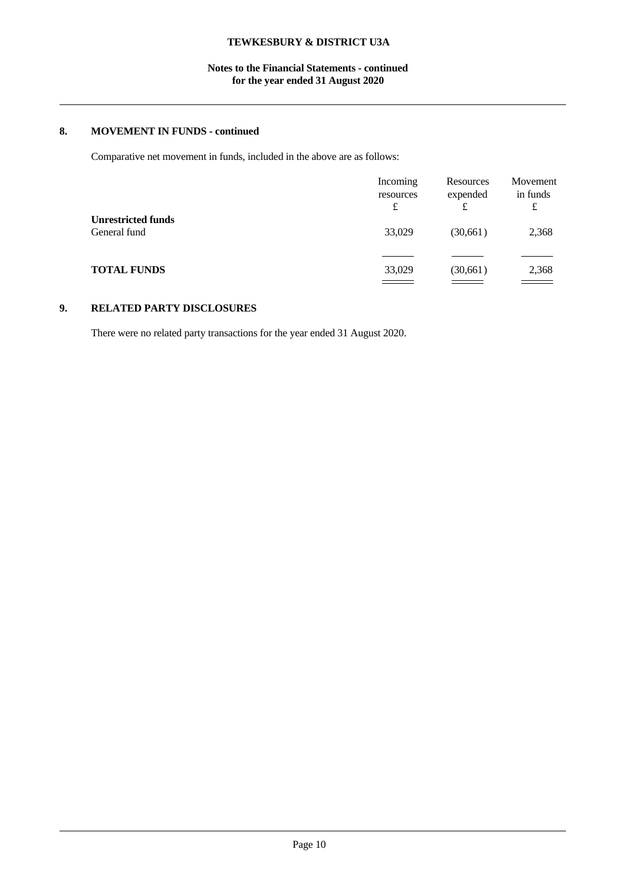## **Notes to the Financial Statements - continued for the year ended 31 August 2020**

# **8. MOVEMENT IN FUNDS - continued**

Comparative net movement in funds, included in the above are as follows:

|                                           | Incoming<br>resources<br>£ | Resources<br>expended<br>£ | Movement<br>in funds<br>£ |  |
|-------------------------------------------|----------------------------|----------------------------|---------------------------|--|
| <b>Unrestricted funds</b><br>General fund | 33,029                     | (30,661)                   | 2,368                     |  |
| <b>TOTAL FUNDS</b>                        | 33,029                     | (30, 661)                  | 2,368                     |  |

# **9. RELATED PARTY DISCLOSURES**

There were no related party transactions for the year ended 31 August 2020.